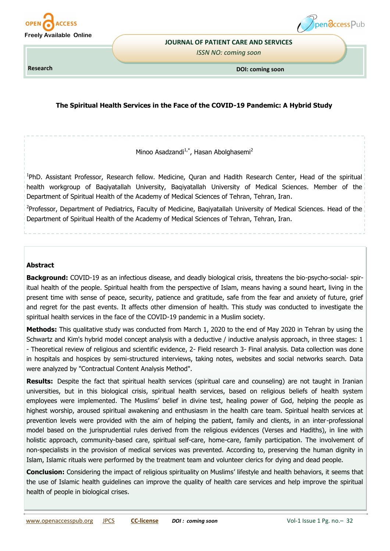



#### **JOURNAL OF PATIENT CARE AND SERVICES**

*ISSN NO: coming soon* 

**Research** 

**DOI: coming soon**

# **The Spiritual Health Services in the Face of the COVID-19 Pandemic: A Hybrid Study**

Minoo Asadzandi<sup>1,\*</sup>, Hasan Abolghasemi<sup>2</sup>

<sup>1</sup>PhD. Assistant Professor, Research fellow. Medicine, Quran and Hadith Research Center, Head of the spiritual health workgroup of Baqiyatallah University, Baqiyatallah University of Medical Sciences. Member of the Department of Spiritual Health of the Academy of Medical Sciences of Tehran, Tehran, Iran.

<sup>2</sup>Professor, Department of Pediatrics, Faculty of Medicine, Baqiyatallah University of Medical Sciences. Head of the Department of Spiritual Health of the Academy of Medical Sciences of Tehran, Tehran, Iran.

# **Abstract**

**Background:** COVID-19 as an infectious disease, and deadly biological crisis, threatens the bio-psycho-social- spiritual health of the people. Spiritual health from the perspective of Islam, means having a sound heart, living in the present time with sense of peace, security, patience and gratitude, safe from the fear and anxiety of future, grief and regret for the past events. It affects other dimension of health. This study was conducted to investigate the spiritual health services in the face of the COVID-19 pandemic in a Muslim society.

**Methods:** This qualitative study was conducted from March 1, 2020 to the end of May 2020 in Tehran by using the Schwartz and Kim's hybrid model concept analysis with a deductive / inductive analysis approach, in three stages: 1 - Theoretical review of religious and scientific evidence, 2- Field research 3- Final analysis. Data collection was done in hospitals and hospices by semi-structured interviews, taking notes, websites and social networks search. Data were analyzed by "Contractual Content Analysis Method".

**Results:** Despite the fact that spiritual health services (spiritual care and counseling) are not taught in Iranian universities, but in this biological crisis, spiritual health services, based on religious beliefs of health system employees were implemented. The Muslims' belief in divine test, healing power of God, helping the people as highest worship, aroused spiritual awakening and enthusiasm in the health care team. Spiritual health services at prevention levels were provided with the aim of helping the patient, family and clients, in an inter-professional model based on the jurisprudential rules derived from the religious evidences (Verses and Hadiths), in line with holistic approach, community-based care, spiritual self-care, home-care, family participation. The involvement of non-specialists in the provision of medical services was prevented. According to, preserving the human dignity in Islam, Islamic rituals were performed by the treatment team and volunteer clerics for dying and dead people.

**Conclusion:** Considering the impact of religious spirituality on Muslims' lifestyle and health behaviors, it seems that the use of Islamic health guidelines can improve the quality of health care services and help improve the spiritual health of people in biological crises.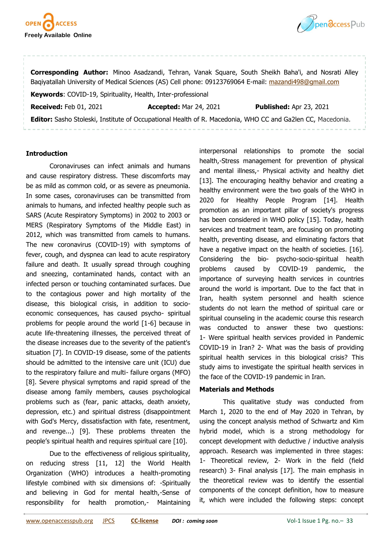



**Corresponding Author:** Minoo Asadzandi, Tehran, Vanak Square, South Sheikh Baha'i, and Nosrati Alley Baqiyatallah University of Medical Sciences (AS) Cell phone: 09123769064 E-mail: [mazandi498@gmail.com](mailto:mazandi498@gmail.com) **Keywords**: COVID-19, Spirituality, Health, Inter-professional **Received:** Feb 01, 2021 **Accepted:** Mar 24, 2021 **Published:** Apr 23, 2021

**Editor:** Sasho Stoleski, Institute of Occupational Health of R. Macedonia, WHO CC and Ga2len CC, Macedonia.

## **Introduction**

Coronaviruses can infect animals and humans and cause respiratory distress. These discomforts may be as mild as common cold, or as severe as pneumonia. In some cases, coronaviruses can be transmitted from animals to humans, and infected healthy people such as SARS (Acute Respiratory Symptoms) in 2002 to 2003 or MERS (Respiratory Symptoms of the Middle East) in 2012, which was transmitted from camels to humans. The new coronavirus (COVID-19) with symptoms of fever, cough, and dyspnea can lead to acute respiratory failure and death. It usually spread through coughing and sneezing, contaminated hands, contact with an infected person or touching contaminated surfaces. Due to the contagious power and high mortality of the disease, this biological crisis, in addition to socioeconomic consequences, has caused psycho- spiritual problems for people around the world [1-6] because in acute life-threatening illnesses, the perceived threat of the disease increases due to the severity of the patient's situation [7]. In COVID-19 disease, some of the patients should be admitted to the intensive care unit (ICU) due to the respiratory failure and multi- failure organs (MFO) [8]. Severe physical symptoms and rapid spread of the disease among family members, causes psychological problems such as (fear, panic attacks, death anxiety, depression, etc.) and spiritual distress (disappointment with God's Mercy, dissatisfaction with fate, resentment, and revenge...) [9]. These problems threaten the people's spiritual health and requires spiritual care [10].

Due to the effectiveness of religious spirituality, on reducing stress [11, 12] the World Health Organization (WHO) introduces a health-promoting lifestyle combined with six dimensions of: -Spiritually and believing in God for mental health,-Sense of responsibility for health promotion,- Maintaining

interpersonal relationships to promote the social health,-Stress management for prevention of physical and mental illness,- Physical activity and healthy diet [13]. The encouraging healthy behavior and creating a healthy environment were the two goals of the WHO in 2020 for Healthy People Program [14]. Health promotion as an important pillar of society's progress has been considered in WHO policy [15]. Today, health services and treatment team, are focusing on promoting health, preventing disease, and eliminating factors that have a negative impact on the health of societies. [16]. Considering the bio- psycho-socio-spiritual health problems caused by COVID-19 pandemic, the importance of surveying health services in countries around the world is important. Due to the fact that in Iran, health system personnel and health science students do not learn the method of spiritual care or spiritual counseling in the academic course this research was conducted to answer these two questions: 1- Were spiritual health services provided in Pandemic COVID-19 in Iran? 2- What was the basis of providing spiritual health services in this biological crisis? This study aims to investigate the spiritual health services in the face of the COVID-19 pandemic in Iran.

### **Materials and Methods**

This qualitative study was conducted from March 1, 2020 to the end of May 2020 in Tehran, by using the concept analysis method of Schwartz and Kim hybrid model, which is a strong methodology for concept development with deductive / inductive analysis approach. Research was implemented in three stages: 1- Theoretical review, 2- Work in the field (field research) 3- Final analysis [17]. The main emphasis in the theoretical review was to identify the essential components of the concept definition, how to measure it, which were included the following steps: concept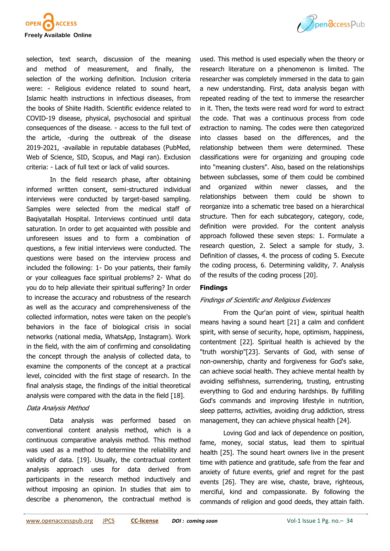

selection, text search, discussion of the meaning and method of measurement, and finally, the selection of the working definition. Inclusion criteria were: - Religious evidence related to sound heart, Islamic health instructions in infectious diseases, from the books of Shiite Hadith. Scientific evidence related to COVID-19 disease, physical, psychosocial and spiritual consequences of the disease. - access to the full text of the article, -during the outbreak of the disease 2019-2021, -available in reputable databases (PubMed, Web of Science, SID, Scopus, and Magi ran). Exclusion criteria: - Lack of full text or lack of valid sources.

In the field research phase, after obtaining informed written consent, semi-structured individual interviews were conducted by target-based sampling. Samples were selected from the medical staff of Baqiyatallah Hospital. Interviews continued until data saturation. In order to get acquainted with possible and unforeseen issues and to form a combination of questions, a few initial interviews were conducted. The questions were based on the interview process and included the following: 1- Do your patients, their family or your colleagues face spiritual problems? 2- What do you do to help alleviate their spiritual suffering? In order to increase the accuracy and robustness of the research as well as the accuracy and comprehensiveness of the collected information, notes were taken on the people's behaviors in the face of biological crisis in social networks (national media, WhatsApp, Instagram). Work in the field, with the aim of confirming and consolidating the concept through the analysis of collected data, to examine the components of the concept at a practical level, coincided with the first stage of research. In the final analysis stage, the findings of the initial theoretical analysis were compared with the data in the field [18].

# Data Analysis Method

Data analysis was performed based on conventional content analysis method, which is a continuous comparative analysis method. This method was used as a method to determine the reliability and validity of data. [19]. Usually, the contractual content analysis approach uses for data derived from participants in the research method inductively and without imposing an opinion. In studies that aim to describe a phenomenon, the contractual method is

used. This method is used especially when the theory or research literature on a phenomenon is limited. The researcher was completely immersed in the data to gain a new understanding. First, data analysis began with repeated reading of the text to immerse the researcher in it. Then, the texts were read word for word to extract the code. That was a continuous process from code extraction to naming. The codes were then categorized into classes based on the differences, and the relationship between them were determined. These classifications were for organizing and grouping code into "meaning clusters". Also, based on the relationships between subclasses, some of them could be combined and organized within newer classes, and the relationships between them could be shown to reorganize into a schematic tree based on a hierarchical structure. Then for each subcategory, category, code, definition were provided. For the content analysis approach followed these seven steps: 1. Formulate a research question, 2. Select a sample for study, 3. Definition of classes, 4. the process of coding 5. Execute the coding process, 6. Determining validity, 7. Analysis of the results of the coding process [20].

### **Findings**

# Findings of Scientific and Religious Evidences

From the Qur'an point of view, spiritual health means having a sound heart [21] a calm and confident spirit, with sense of security, hope, optimism, happiness, contentment [22]. Spiritual health is achieved by the "truth worship"[23]. Servants of God, with sense of non-ownership, charity and forgiveness for God's sake, can achieve social health. They achieve mental health by avoiding selfishness, surrendering, trusting, entrusting everything to God and enduring hardships. By fulfilling God's commands and improving lifestyle in nutrition, sleep patterns, activities, avoiding drug addiction, stress management, they can achieve physical health [24].

Loving God and lack of dependence on position, fame, money, social status, lead them to spiritual health [25]. The sound heart owners live in the present time with patience and gratitude, safe from the fear and anxiety of future events, grief and regret for the past events [26]. They are wise, chaste, brave, righteous, merciful, kind and compassionate. By following the commands of religion and good deeds, they attain faith.

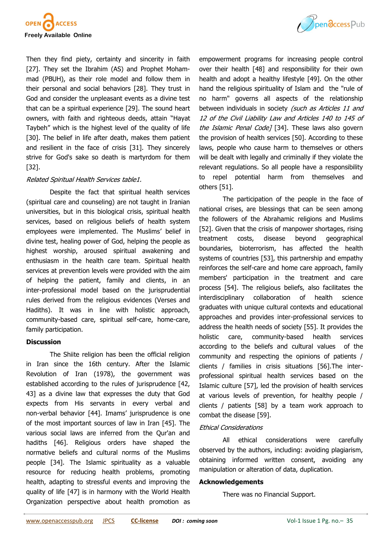

Then they find piety, certainty and sincerity in faith [27]. They set the Ibrahim (AS) and Prophet Mohammad (PBUH), as their role model and follow them in their personal and social behaviors [28]. They trust in God and consider the unpleasant events as a divine test that can be a spiritual experience [29]. The sound heart owners, with faith and righteous deeds, attain "Hayat Taybeh" which is the highest level of the quality of life [30]. The belief in life after death, makes them patient and resilient in the face of crisis [31]. They sincerely strive for God's sake so death is martyrdom for them [32].

## Related Spiritual Health Services table1.

Despite the fact that spiritual health services (spiritual care and counseling) are not taught in Iranian universities, but in this biological crisis, spiritual health services, based on religious beliefs of health system employees were implemented. The Muslims' belief in divine test, healing power of God, helping the people as highest worship, aroused spiritual awakening and enthusiasm in the health care team. Spiritual health services at prevention levels were provided with the aim of helping the patient, family and clients, in an inter-professional model based on the jurisprudential rules derived from the religious evidences (Verses and Hadiths). It was in line with holistic approach, community-based care, spiritual self-care, home-care, family participation.

## **Discussion**

The Shiite religion has been the official religion in Iran since the 16th century. After the Islamic Revolution of Iran (1978), the government was established according to the rules of jurisprudence [42, 43] as a divine law that expresses the duty that God expects from His servants in every verbal and non-verbal behavior [44]. Imams' jurisprudence is one of the most important sources of law in Iran [45]. The various social laws are inferred from the Qur'an and hadiths [46]. Religious orders have shaped the normative beliefs and cultural norms of the Muslims people [34]. The Islamic spirituality as a valuable resource for reducing health problems, promoting health, adapting to stressful events and improving the quality of life [47] is in harmony with the World Health Organization perspective about health promotion as



The participation of the people in the face of national crises, are blessings that can be seen among the followers of the Abrahamic religions and Muslims [52]. Given that the crisis of manpower shortages, rising treatment costs, disease beyond geographical boundaries, bioterrorism, has affected the health systems of countries [53], this partnership and empathy reinforces the self-care and home care approach, family members' participation in the treatment and care process [54]. The religious beliefs, also facilitates the interdisciplinary collaboration of health science graduates with unique cultural contexts and educational approaches and provides inter-professional services to address the health needs of society [55]. It provides the holistic care, community-based health services according to the beliefs and cultural values of the community and respecting the opinions of patients / clients / families in crisis situations [56].The interprofessional spiritual health services based on the Islamic culture [57], led the provision of health services at various levels of prevention, for healthy people / clients / patients [58] by a team work approach to combat the disease [59].

### Ethical Considerations

All ethical considerations were carefully observed by the authors, including: avoiding plagiarism, obtaining informed written consent, avoiding any manipulation or alteration of data, duplication.

### **Acknowledgements**

There was no Financial Support.

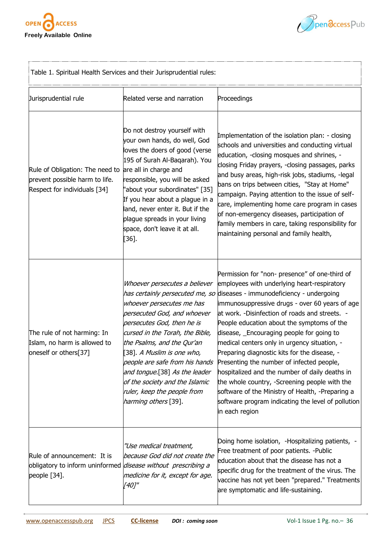

,...



| Table 1. Spiritual Health Services and their Jurisprudential rules:                                                    |                                                                                                                                                                                                                                                                                                                                                                                                                              |                                                                                                                                                                                                                                                                                                                                                                                                                                                                                                                                                                                                                                                                                                                     |  |
|------------------------------------------------------------------------------------------------------------------------|------------------------------------------------------------------------------------------------------------------------------------------------------------------------------------------------------------------------------------------------------------------------------------------------------------------------------------------------------------------------------------------------------------------------------|---------------------------------------------------------------------------------------------------------------------------------------------------------------------------------------------------------------------------------------------------------------------------------------------------------------------------------------------------------------------------------------------------------------------------------------------------------------------------------------------------------------------------------------------------------------------------------------------------------------------------------------------------------------------------------------------------------------------|--|
| Jurisprudential rule                                                                                                   | Related verse and narration                                                                                                                                                                                                                                                                                                                                                                                                  | Proceedings                                                                                                                                                                                                                                                                                                                                                                                                                                                                                                                                                                                                                                                                                                         |  |
| Rule of Obligation: The need to<br>prevent possible harm to life.<br>Respect for individuals [34]                      | Do not destroy yourself with<br>your own hands, do well, God<br>loves the doers of good (verse<br>195 of Surah Al-Baqarah). You<br>are all in charge and<br>responsible, you will be asked<br>"about your subordinates" [35]<br>If you hear about a plague in a<br>land, never enter it. But if the<br>plague spreads in your living<br>space, don't leave it at all.<br>$[36].$                                             | Implementation of the isolation plan: - closing<br>schools and universities and conducting virtual<br>education, -closing mosques and shrines, -<br>closing Friday prayers, -closing passages, parks<br>and busy areas, high-risk jobs, stadiums, -legal<br>bans on trips between cities, "Stay at Home"<br>campaign. Paying attention to the issue of self-<br>care, implementing home care program in cases<br>of non-emergency diseases, participation of<br>family members in care, taking responsibility for<br>maintaining personal and family health,                                                                                                                                                        |  |
| The rule of not harming: In<br>Islam, no harm is allowed to<br>oneself or others[37]                                   | Whoever persecutes a believer<br>has certainly persecuted me, so<br>whoever persecutes me has<br>persecuted God, and whoever<br>persecutes God, then he is<br>cursed in the Torah, the Bible,<br>the Psalms, and the Qur'an<br>[38]. <i>A Muslim is one who,</i><br>people are safe from his hands<br>and tongue.[38] As the leader<br>of the society and the Islamic<br>ruler, keep the people from<br>harming others [39]. | Permission for "non- presence" of one-third of<br>employees with underlying heart-respiratory<br>diseases - immunodeficiency - undergoing<br>immunosuppressive drugs - over 60 years of age<br>at work. -Disinfection of roads and streets. -<br>People education about the symptoms of the<br>disease, Encouraging people for going to<br>medical centers only in urgency situation, -<br>Preparing diagnostic kits for the disease, -<br>Presenting the number of infected people,<br>hospitalized and the number of daily deaths in<br>the whole country, -Screening people with the<br>software of the Ministry of Health, -Preparing a<br>software program indicating the level of pollution<br>in each region |  |
| Rule of announcement: It is<br>obligatory to inform uninformed <i>disease without prescribing a</i><br>people $[34]$ . | "Use medical treatment,<br>because God did not create the<br>medicine for it, except for age.<br>[40]"                                                                                                                                                                                                                                                                                                                       | Doing home isolation, -Hospitalizing patients, -<br>Free treatment of poor patients. - Public<br>education about that the disease has not a<br>specific drug for the treatment of the virus. The<br>vaccine has not yet been "prepared." Treatments<br>are symptomatic and life-sustaining.                                                                                                                                                                                                                                                                                                                                                                                                                         |  |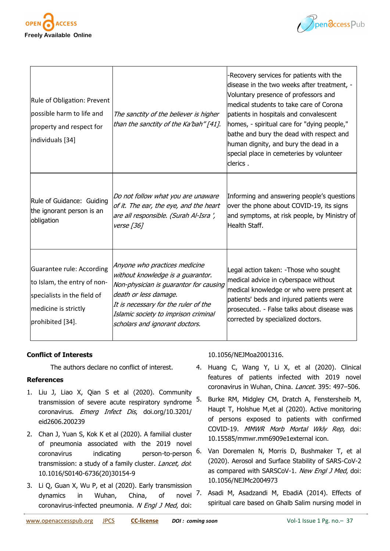



| Rule of Obligation: Prevent<br>possible harm to life and<br>property and respect for<br>individuals [34]                            | The sanctity of the believer is higher<br>than the sanctity of the Ka'bah" [41].                                                                                                                                                                        | -Recovery services for patients with the<br>disease in the two weeks after treatment, -<br>Voluntary presence of professors and<br>medical students to take care of Corona<br>patients in hospitals and convalescent<br>homes, - spiritual care for "dying people,"<br>bathe and bury the dead with respect and<br>human dignity, and bury the dead in a<br>special place in cemeteries by volunteer<br>clerics. |
|-------------------------------------------------------------------------------------------------------------------------------------|---------------------------------------------------------------------------------------------------------------------------------------------------------------------------------------------------------------------------------------------------------|------------------------------------------------------------------------------------------------------------------------------------------------------------------------------------------------------------------------------------------------------------------------------------------------------------------------------------------------------------------------------------------------------------------|
| Rule of Guidance: Guiding<br>the ignorant person is an<br>obligation                                                                | Do not follow what you are unaware<br>of it. The ear, the eye, and the heart<br>are all responsible. (Surah Al-Isra ',<br><i>verse</i> [36]                                                                                                             | Informing and answering people's questions<br>over the phone about COVID-19, its signs<br>and symptoms, at risk people, by Ministry of<br>Health Staff.                                                                                                                                                                                                                                                          |
| Guarantee rule: According<br>to Islam, the entry of non-<br>specialists in the field of<br>medicine is strictly<br>prohibited [34]. | Anyone who practices medicine<br>without knowledge is a guarantor.<br>Non-physician is guarantor for causing<br>death or less damage.<br>It is necessary for the ruler of the<br>Islamic society to imprison criminal<br>scholars and ignorant doctors. | Legal action taken: - Those who sought<br>medical advice in cyberspace without<br>medical knowledge or who were present at<br>patients' beds and injured patients were<br>prosecuted. - False talks about disease was<br>corrected by specialized doctors.                                                                                                                                                       |

# **Conflict of Interests**

The authors declare no conflict of interest.

# **References**

- 1. Liu J, Liao X, Qian S et al (2020). Community transmission of severe acute respiratory syndrome coronavirus. Emerg Infect Dis, doi.org/10.3201/ eid2606.200239
- 2. Chan J, Yuan S, Kok K et al (2020). A familial cluster of pneumonia associated with the 2019 novel coronavirus indicating person-to-person transmission: a study of a family cluster. Lancet, doi: 10.1016/S0140-6736(20)30154-9
- 3. Li Q, Guan X, Wu P, et al (2020). Early transmission dynamics in Wuhan, China, of novel coronavirus-infected pneumonia. N Engl J Med, doi:

# 10.1056/NEJMoa2001316.

- 4. Huang C, Wang Y, Li X, et al (2020). Clinical features of patients infected with 2019 novel coronavirus in Wuhan, China. Lancet. 395: 497-506.
- 5. Burke RM, Midgley CM, Dratch A, Fenstersheib M, Haupt T, Holshue M,et al (2020). Active monitoring of persons exposed to patients with confirmed COVID-19. MMWR Morb Mortal Wkly Rep, doi: 10.15585/mmwr.mm6909e1external icon.
- 6. Van Doremalen N, Morris D, Bushmaker T, et al (2020). Aerosol and Surface Stability of SARS-CoV-2 as compared with SARSCoV-1. New Engl J Med, doi: 10.1056/NEJMc2004973

7. Asadi M, Asadzandi M, EbadiA (2014). Effects of spiritual care based on Ghalb Salim nursing model in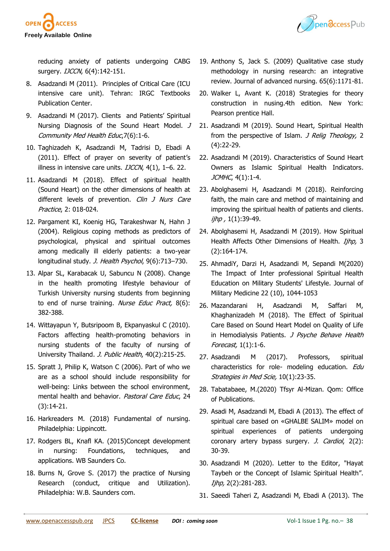

Pendccess Pub

reducing anxiety of patients undergoing CABG surgery. *IJCCN*, 6(4):142-151.

- 8. Asadzandi M (2011). Principles of Critical Care (ICU intensive care unit). Tehran: IRGC Textbooks Publication Center.
- 9. Asadzandi M (2017). Clients and Patients' Spiritual Nursing Diagnosis of the Sound Heart Model. J Community Med Health Educ,7(6):1-6.
- 10. Taghizadeh K, Asadzandi M, Tadrisi D, Ebadi A (2011). Effect of prayer on severity of patient's illness in intensive care units.  $IJCCN$ ,  $4(1)$ ,  $1-6$ . 22.
- 11. Asadzandi M (2018). Effect of spiritual health (Sound Heart) on the other dimensions of health at different levels of prevention. Clin J Nurs Care Practice, 2: 018-024.
- 12. Pargament KI, Koenig HG, Tarakeshwar N, Hahn J (2004). Religious coping methods as predictors of psychological, physical and spiritual outcomes among medically ill elderly patients: a two-year longitudinal study. J. Health Psychol, 9(6):713-730.
- 13. Alpar SL, Karabacak U, Sabuncu N (2008). Change in the health promoting lifestyle behaviour of Turkish University nursing students from beginning to end of nurse training. Nurse Educ Pract, 8(6): 382-388.
- 14. Wittayapun Y, Butsripoom B, Ekpanyaskul C (2010). Factors affecting health-promoting behaviors in nursing students of the faculty of nursing of University Thailand. J. Public Health, 40(2):215-25.
- 15. Spratt J, Philip K, Watson C (2006). Part of who we are as a school should include responsibility for well-being: Links between the school environment, mental health and behavior. Pastoral Care Educ, 24 (3):14-21.
- 16. Harkreaders M. (2018) Fundamental of nursing. Philadelphia: Lippincott.
- 17. Rodgers BL, Knafl KA. (2015)Concept development in nursing: Foundations, techniques, and applications. WB Saunders Co.
- 18. Burns N, Grove S. (2017) the practice of Nursing Research (conduct, critique and Utilization). Philadelphia: W.B. Saunders com.
- 19. Anthony S, Jack S. (2009) Qualitative case study methodology in nursing research: an integrative review. Journal of advanced nursing. 65(6):1171-81.
- 20. Walker L, Avant K. (2018) Strategies for theory construction in nusing.4th edition. New York: Pearson prentice Hall.
- 21. Asadzandi M (2019). Sound Heart, Spiritual Health from the perspective of Islam. *J Relig Theology*, 2 (4):22-29.
- 22. Asadzandi M (2019). Characteristics of Sound Heart Owners as Islamic Spiritual Health Indicators. JCMHC, 4(1):1-4.
- 23. Abolghasemi H, Asadzandi M (2018). Reinforcing faith, the main care and method of maintaining and improving the spiritual health of patients and clients. ijhp, 1(1):39-49.
- 24. Abolghasemi H, Asadzandi M (2019). How Spiritual Health Affects Other Dimensions of Health. Ijhp, 3 (2):164-174.
- 25. AhmadiY, Darzi H, Asadzandi M, Sepandi M(2020) The Impact of Inter professional Spiritual Health Education on Military Students' Lifestyle. Journal of Military Medicine 22 (10), 1044-1053
- 26. Mazandarani H, Asadzandi M, Saffari M, Khaghanizadeh M (2018). The Effect of Spiritual Care Based on Sound Heart Model on Quality of Life in Hemodialysis Patients. J Psyche Behave Health Forecast, 1(1):1-6.
- 27. Asadzandi M (2017). Professors, spiritual characteristics for role- modeling education. Edu Strategies in Med Scie, 10(1):23-35.
- 28. Tabatabaee, M.(2020) Tfsyr Al-Mizan. Qom: Office of Publications.
- 29. Asadi M, Asadzandi M, Ebadi A (2013). The effect of spiritual care based on «GHALBE SALIM» model on spiritual experiences of patients undergoing coronary artery bypass surgery. *J. Cardiol*, 2(2): 30-39.
- 30. Asadzandi M (2020). Letter to the Editor, "Hayat Taybeh or the Concept of Islamic Spiritual Health". Ijhp, 2(2):281-283.
- 31. Saeedi Taheri Z, Asadzandi M, Ebadi A (2013). The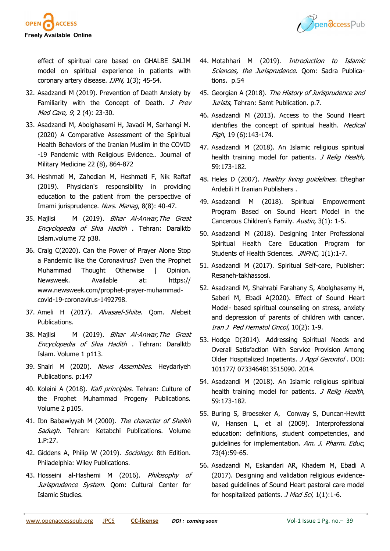

Pendccess Pub

effect of spiritual care based on GHALBE SALIM model on spiritual experience in patients with coronary artery disease. IJPN, 1(3); 45-54.

- 32. Asadzandi M (2019). Prevention of Death Anxiety by Familiarity with the Concept of Death. J Prev Med Care, 9, 2 (4): 23-30.
- 33. Asadzandi M, Abolghasemi H, Javadi M, Sarhangi M. (2020) A Comparative Assessment of the Spiritual Health Behaviors of the Iranian Muslim in the COVID -19 Pandemic with Religious Evidence.. Journal of Military Medicine 22 (8), 864-872
- 34. Heshmati M, Zahedian M, Heshmati F, Nik Raftaf (2019). Physician's responsibility in providing education to the patient from the perspective of Imami jurisprudence. Nurs. Manag, 8(8): 40-47.
- 35. Majlisi M (2019). Bihar Al-Anwar, The Great Encyclopedia of Shia Hadith . Tehran: Daralktb Islam.volume 72 p38.
- 36. Craig C(2020). Can the Power of Prayer Alone Stop a Pandemic like the Coronavirus? Even the Prophet Muhammad Thought Otherwise | Opinion. Newsweek. Available at: [https://](https://www.newsweek.com/prophet-prayer-muhammad-covid-19-coronavirus-1492798) [www.newsweek.com/prophet](https://www.newsweek.com/prophet-prayer-muhammad-covid-19-coronavirus-1492798)-prayer-muhammadcovid-19-[coronavirus](https://www.newsweek.com/prophet-prayer-muhammad-covid-19-coronavirus-1492798)-1492798.
- 37. Ameli H (2017). Alvasael-Shiite. Oom. Alebeit Publications.
- 38. Majlisi M (2019). Bihar Al-Anwar, The Great Encyclopedia of Shia Hadith . Tehran: Daralktb Islam. Volume 1 p113.
- 39. Shairi M (2020). News Assemblies. Heydariyeh Publications. p:147
- 40. Koleini A (2018). Kafi principles. Tehran: Culture of the Prophet Muhammad Progeny Publications. Volume 2 p105.
- 41. Ibn Babawiyyah M (2000). The character of Sheikh Saduqh. Tehran: Ketabchi Publications. Volume 1.P:27.
- 42. Giddens A, Philip W (2019). Sociology. 8th Edition. Philadelphia: Wiley Publications.
- 43. Hosseini al-Hashemi M (2016). Philosophy of Jurisprudence System. Qom: Cultural Center for Islamic Studies.
- 44. Motahhari M (2019). Introduction to Islamic Sciences, the Jurisprudence. Qom: Sadra Publications. p.54
- 45. Georgian A (2018). The History of Jurisprudence and Jurists, Tehran: Samt Publication. p.7.
- 46. Asadzandi M (2013). Access to the Sound Heart identifies the concept of spiritual health. Medical Figh, 19 (6):143-174.
- 47. Asadzandi M (2018). An Islamic religious spiritual health training model for patients. J Relig Health, 59:173-182.
- 48. Heles D (2007). Healthy living quidelines. Efteghar Ardebili H Iranian Publishers .
- 49. Asadzandi M (2018). Spiritual Empowerment Program Based on Sound Heart Model in the Cancerous Children's Family. Austin, 3(1): 1-5.
- 50. Asadzandi M (2018). Designing Inter Professional Spiritual Health Care Education Program for Students of Health Sciences. JNPHC, 1(1):1-7.
- 51. Asadzandi M (2017). Spiritual Self-care, Publisher: Resaneh-takhassosi.
- 52. Asadzandi M, Shahrabi Farahany S, Abolghasemy H, Saberi M, Ebadi A(2020). Effect of Sound Heart Model- based spiritual counseling on stress, anxiety and depression of parents of children with cancer. Iran J Ped Hematol Oncol, 10(2): 1-9.
- 53. Hodge D(2014). Addressing Spiritual Needs and Overall Satisfaction With Service Provision Among Older Hospitalized Inpatients. J Appl Gerontol. DOI: 101177/ 0733464813515090. 2014.
- 54. Asadzandi M (2018). An Islamic religious spiritual health training model for patients. J Relig Health, 59:173-182.
- 55. Buring S, Broeseker A, Conway S, Duncan-Hewitt W, Hansen L, et al (2009). Interprofessional education: definitions, student competencies, and guidelines for implementation. Am. J. Pharm. Educ, 73(4):59-65.
- 56. Asadzandi M, Eskandari AR, Khadem M, Ebadi A (2017). Designing and validation religious evidencebased guidelines of Sound Heart pastoral care model for hospitalized patients.  $J$  Med Sci, 1(1):1-6.